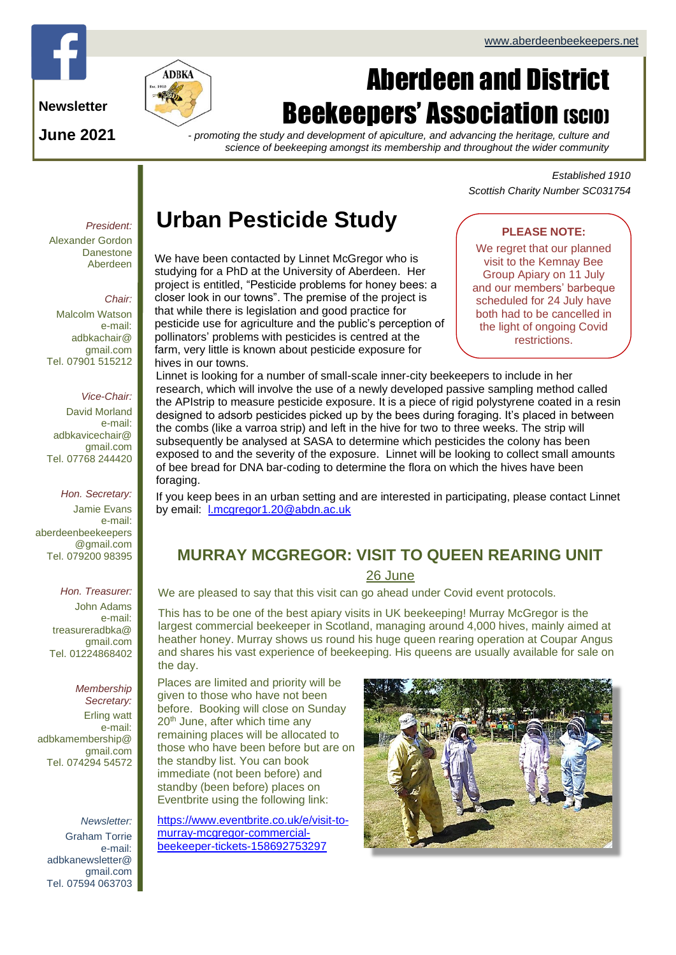

**Newsletter**

**June 2021**



# Aberdeen and District **Beekeepers' Association (SCIO)**

*- promoting the study and development of apiculture, and advancing the heritage, culture and science of beekeeping amongst its membership and throughout the wider community*

> *Established 1910 Scottish Charity Number SC031754*

# **Urban Pesticide Study**

We have been contacted by Linnet McGregor who is studying for a PhD at the University of Aberdeen. Her project is entitled, "Pesticide problems for honey bees: a closer look in our towns". The premise of the project is that while there is legislation and good practice for pesticide use for agriculture and the public's perception of pollinators' problems with pesticides is centred at the farm, very little is known about pesticide exposure for hives in our towns.

## **PLEASE NOTE:**

We regret that our planned visit to the Kemnay Bee Group Apiary on 11 July and our members' barbeque scheduled for 24 July have both had to be cancelled in the light of ongoing Covid restrictions.

Linnet is looking for a number of small-scale inner-city beekeepers to include in her research, which will involve the use of a newly developed passive sampling method called the APIstrip to measure pesticide exposure. It is a piece of rigid polystyrene coated in a resin designed to adsorb pesticides picked up by the bees during foraging. It's placed in between the combs (like a varroa strip) and left in the hive for two to three weeks. The strip will subsequently be analysed at SASA to determine which pesticides the colony has been exposed to and the severity of the exposure. Linnet will be looking to collect small amounts of bee bread for DNA bar-coding to determine the flora on which the hives have been foraging.

If you keep bees in an urban setting and are interested in participating, please contact Linnet by email: **L**.mcgregor1.20@abdn.ac.uk

## **MURRAY MCGREGOR: VISIT TO QUEEN REARING UNIT**

## 26 June

We are pleased to say that this visit can go ahead under Covid event protocols.

This has to be one of the best apiary visits in UK beekeeping! Murray McGregor is the largest commercial beekeeper in Scotland, managing around 4,000 hives, mainly aimed at heather honey. Murray shows us round his huge queen rearing operation at Coupar Angus and shares his vast experience of beekeeping. His queens are usually available for sale on the day.

Places are limited and priority will be given to those who have not been before. Booking will close on Sunday 20<sup>th</sup> June, after which time any remaining places will be allocated to those who have been before but are on the standby list. You can book immediate (not been before) and standby (been before) places on Eventbrite using the following link:

[https://www.eventbrite.co.uk/e/visit-to](https://www.eventbrite.co.uk/e/visit-to-murray-mcgregor-commercial-beekeeper-tickets-158692753297)[murray-mcgregor-commercial](https://www.eventbrite.co.uk/e/visit-to-murray-mcgregor-commercial-beekeeper-tickets-158692753297)[beekeeper-tickets-158692753297](https://www.eventbrite.co.uk/e/visit-to-murray-mcgregor-commercial-beekeeper-tickets-158692753297)



*President:* Alexander Gordon **Danestone** Aberdeen

#### *Chair:*

Malcolm Watson e-mail: adbkachair@ gmail.com Tel. 07901 515212

#### *Vice-Chair:*

David Morland e-mail: adbkavicechair@ gmail.com Tel. 07768 244420

*Hon. Secretary:* Jamie Evans e-mail: [aberdeenbeekeepers](mailto:aberdeenbeekeepers@gmail.com) [@gmail.com](mailto:aberdeenbeekeepers@gmail.com) Tel. 079200 98395

*Hon. Treasurer:*

John Adams e-mail: treasureradbka@ gmail.com Tel. 01224868402

*Membership Secretary:*  Erling watt e-mail: adbkamembership@ gmail.com Tel. 074294 54572

*Newsletter:* Graham Torrie e-mail: adbkanewsletter@ gmail.com Tel. 07594 063703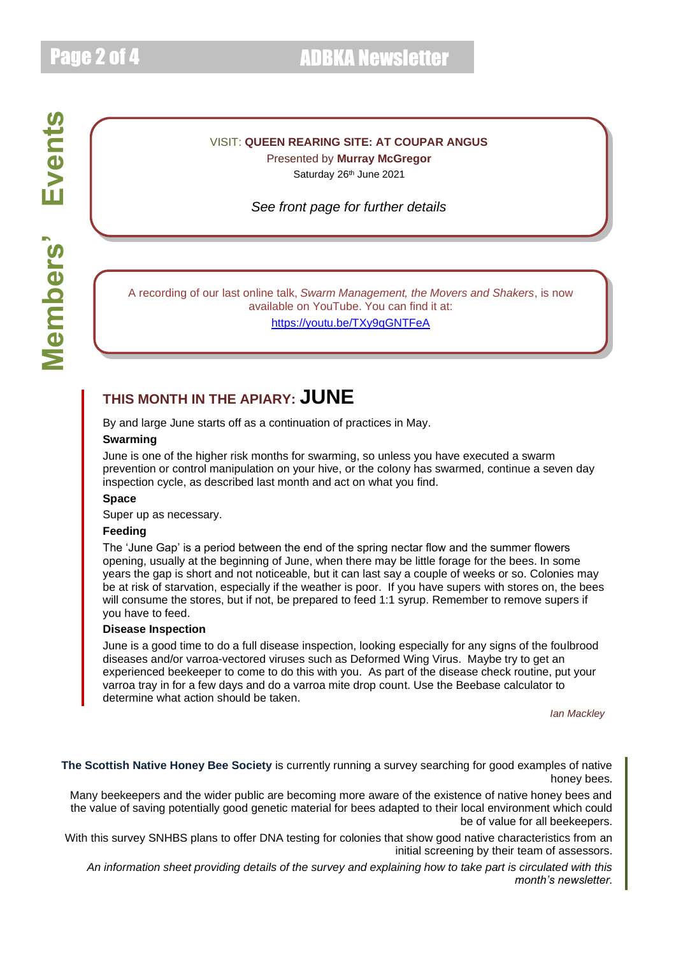# Page 2 of 4 ADBKA Newsletter

## VISIT: **QUEEN REARING SITE: AT COUPAR ANGUS**

Presented by **Murray McGregor** Saturday 26th June 2021

*See front page for further details*

A recording of our last online talk, *Swarm Management, the Movers and Shakers*, is now available on YouTube. You can find it at:

<https://youtu.be/TXy9qGNTFeA>

## **THIS MONTH IN THE APIARY: JUNE**

By and large June starts off as a continuation of practices in May.

#### **Swarming**

June is one of the higher risk months for swarming, so unless you have executed a swarm prevention or control manipulation on your hive, or the colony has swarmed, continue a seven day inspection cycle, as described last month and act on what you find.

#### **Space**

Super up as necessary.

#### **Feeding**

The 'June Gap' is a period between the end of the spring nectar flow and the summer flowers opening, usually at the beginning of June, when there may be little forage for the bees. In some years the gap is short and not noticeable, but it can last say a couple of weeks or so. Colonies may be at risk of starvation, especially if the weather is poor. If you have supers with stores on, the bees will consume the stores, but if not, be prepared to feed 1:1 syrup. Remember to remove supers if you have to feed.

### **Disease Inspection**

June is a good time to do a full disease inspection, looking especially for any signs of the foulbrood diseases and/or varroa-vectored viruses such as Deformed Wing Virus. Maybe try to get an experienced beekeeper to come to do this with you. As part of the disease check routine, put your varroa tray in for a few days and do a varroa mite drop count. Use the Beebase calculator to determine what action should be taken.

*Ian Mackley*

**The Scottish Native Honey Bee Society** is currently running a survey searching for good examples of native honey bees.

Many beekeepers and the wider public are becoming more aware of the existence of native honey bees and the value of saving potentially good genetic material for bees adapted to their local environment which could be of value for all beekeepers.

With this survey SNHBS plans to offer DNA testing for colonies that show good native characteristics from an initial screening by their team of assessors.

*An information sheet providing details of the survey and explaining how to take part is circulated with this month's newsletter.*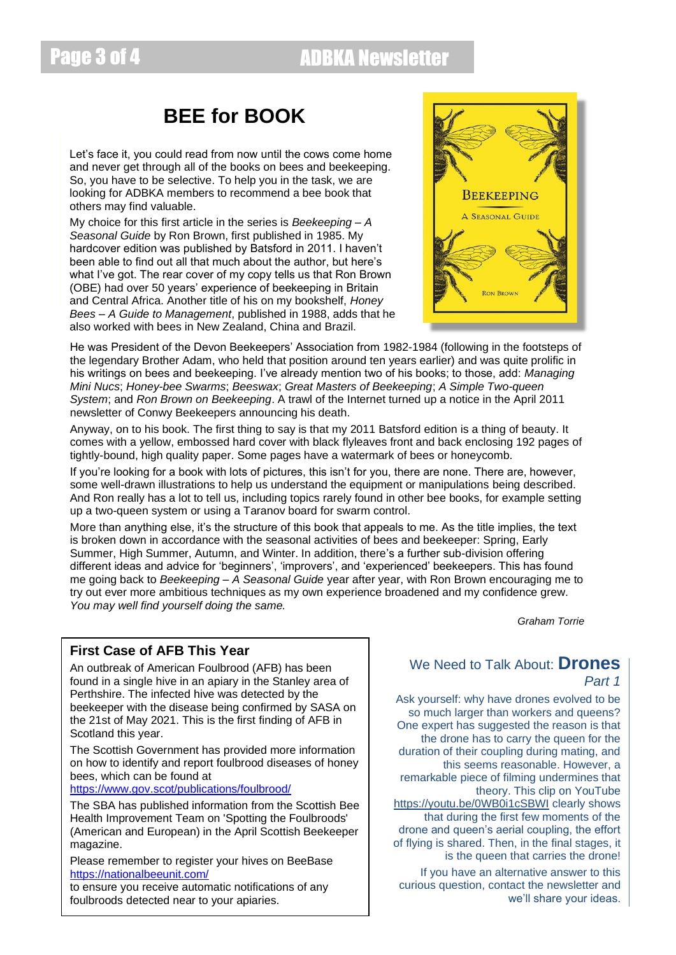# Page 3 of 4 ADBKA Newsletter

## **BEE for BOOK**

Let's face it, you could read from now until the cows come home and never get through all of the books on bees and beekeeping. So, you have to be selective. To help you in the task, we are looking for ADBKA members to recommend a bee book that others may find valuable.

My choice for this first article in the series is *Beekeeping – A Seasonal Guide* by Ron Brown, first published in 1985. My hardcover edition was published by Batsford in 2011. I haven't been able to find out all that much about the author, but here's what I've got. The rear cover of my copy tells us that Ron Brown (OBE) had over 50 years' experience of beekeeping in Britain and Central Africa. Another title of his on my bookshelf, *Honey Bees – A Guide to Management*, published in 1988, adds that he also worked with bees in New Zealand, China and Brazil.



He was President of the Devon Beekeepers' Association from 1982-1984 (following in the footsteps of the legendary Brother Adam, who held that position around ten years earlier) and was quite prolific in his writings on bees and beekeeping. I've already mention two of his books; to those, add: *Managing Mini Nucs*; *Honey-bee Swarms*; *Beeswax*; *Great Masters of Beekeeping*; *A Simple Two-queen System*; and *Ron Brown on Beekeeping*. A trawl of the Internet turned up a notice in the April 2011 newsletter of Conwy Beekeepers announcing his death.

Anyway, on to his book. The first thing to say is that my 2011 Batsford edition is a thing of beauty. It comes with a yellow, embossed hard cover with black flyleaves front and back enclosing 192 pages of tightly-bound, high quality paper. Some pages have a watermark of bees or honeycomb.

If you're looking for a book with lots of pictures, this isn't for you, there are none. There are, however, some well-drawn illustrations to help us understand the equipment or manipulations being described. And Ron really has a lot to tell us, including topics rarely found in other bee books, for example setting up a two-queen system or using a Taranov board for swarm control.

More than anything else, it's the structure of this book that appeals to me. As the title implies, the text is broken down in accordance with the seasonal activities of bees and beekeeper: Spring, Early Summer, High Summer, Autumn, and Winter. In addition, there's a further sub-division offering different ideas and advice for 'beginners', 'improvers', and 'experienced' beekeepers. This has found me going back to *Beekeeping – A Seasonal Guide* year after year, with Ron Brown encouraging me to try out ever more ambitious techniques as my own experience broadened and my confidence grew. *You may well find yourself doing the same.*

*Graham Torrie*

## **First Case of AFB This Year**

An outbreak of American Foulbrood (AFB) has been found in a single hive in an apiary in the Stanley area of Perthshire. The infected hive was detected by the beekeeper with the disease being confirmed by SASA on the 21st of May 2021. This is the first finding of AFB in Scotland this year.

The Scottish Government has provided more information on how to identify and report foulbrood diseases of honey bees, which can be found at

<https://www.gov.scot/publications/foulbrood/>

The SBA has published information from the Scottish Bee Health Improvement Team on 'Spotting the Foulbroods' (American and European) in the April Scottish Beekeeper magazine.

Please remember to register your hives on BeeBase <https://nationalbeeunit.com/>

to ensure you receive automatic notifications of any foulbroods detected near to your apiaries.

## We Need to Talk About: **Drones** *Part 1*

Ask yourself: why have drones evolved to be so much larger than workers and queens? One expert has suggested the reason is that the drone has to carry the queen for the duration of their coupling during mating, and this seems reasonable. However, a remarkable piece of filming undermines that theory. This clip on YouTube <https://youtu.be/0WB0i1cSBWI> clearly shows that during the first few moments of the drone and queen's aerial coupling, the effort of flying is shared. Then, in the final stages, it is the queen that carries the drone!

If you have an alternative answer to this curious question, contact the newsletter and we'll share your ideas.